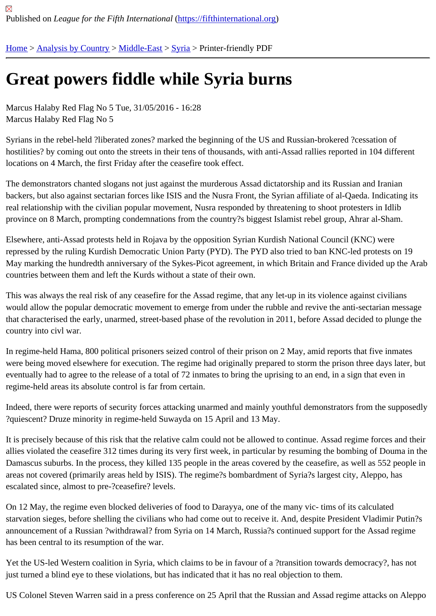## [Gre](https://fifthinternational.org/)[at powers](https://fifthinternational.org/category/1) [fiddle](https://fifthinternational.org/category/1/178) [whil](https://fifthinternational.org/category/1/178/196)e Syria burns

Marcus Halaby Red Flag No 5 Tue, 31/05/2016 - 16:28 Marcus Halaby Red Flag No 5

Syrians in the rebel-held ?liberated zones? marked the beginning of the US and Russian-brokered ?cessation of hostilities? by coming out onto the streets in their tens of thousands, with anti-Assad rallies reported in 104 differer locations on 4 March, the first Friday after the ceasefire took effect.

The demonstrators chanted slogans not just against the murderous Assad dictatorship and its Russian and Iranian backers, but also against sectarian forces like ISIS and the Nusra Front, the Syrian affiliate of al-Qaeda. Indicating real relationship with the civilian popular movement, Nusra responded by threatening to shoot protesters in Idlib province on 8 March, prompting condemnations from the country?s biggest Islamist rebel group, Ahrar al-Sham.

Elsewhere, anti-Assad protests held in Rojava by the opposition Syrian Kurdish National Council (KNC) were repressed by the ruling Kurdish Democratic Union Party (PYD). The PYD also tried to ban KNC-led protests on 19 May marking the hundredth anniversary of the Sykes-Picot agreement, in which Britain and France divided up the countries between them and left the Kurds without a state of their own.

This was always the real risk of any ceasefire for the Assad regime, that any let-up in its violence against civilians would allow the popular democratic movement to emerge from under the rubble and revive the anti-sectarian mes that characterised the early, unarmed, street-based phase of the revolution in 2011, before Assad decided to plung country into civl war.

In regime-held Hama, 800 political prisoners seized control of their prison on 2 May, amid reports that five inmates were being moved elsewhere for execution. The regime had originally prepared to storm the prison three days late eventually had to agree to the release of a total of 72 inmates to bring the uprising to an end, in a sign that even in regime-held areas its absolute control is far from certain.

Indeed, there were reports of security forces attacking unarmed and mainly youthful demonstrators from the suppo ?quiescent? Druze minority in regime-held Suwayda on 15 April and 13 May.

It is precisely because of this risk that the relative calm could not be allowed to continue. Assad regime forces and allies violated the ceasefire 312 times during its very first week, in particular by resuming the bombing of Douma in Damascus suburbs. In the process, they killed 135 people in the areas covered by the ceasefire, as well as 552 pe areas not covered (primarily areas held by ISIS). The regime?s bombardment of Syria?s largest city, Aleppo, has escalated since, almost to pre-?ceasefire? levels.

On 12 May, the regime even blocked deliveries of food to Darayya, one of the many vic- tims of its calculated starvation sieges, before shelling the civilians who had come out to receive it. And, despite President Vladimir Puti announcement of a Russian ?withdrawal? from Syria on 14 March, Russia?s continued support for the Assad regi has been central to its resumption of the war.

Yet the US-led Western coalition in Syria, which claims to be in favour of a ?transition towards democracy?, has n just turned a blind eye to these violations, but has indicated that it has no real objection to them.

US Colonel Steven Warren said in a press conference on 25 April that the Russian and Assad regime attacks on *l*